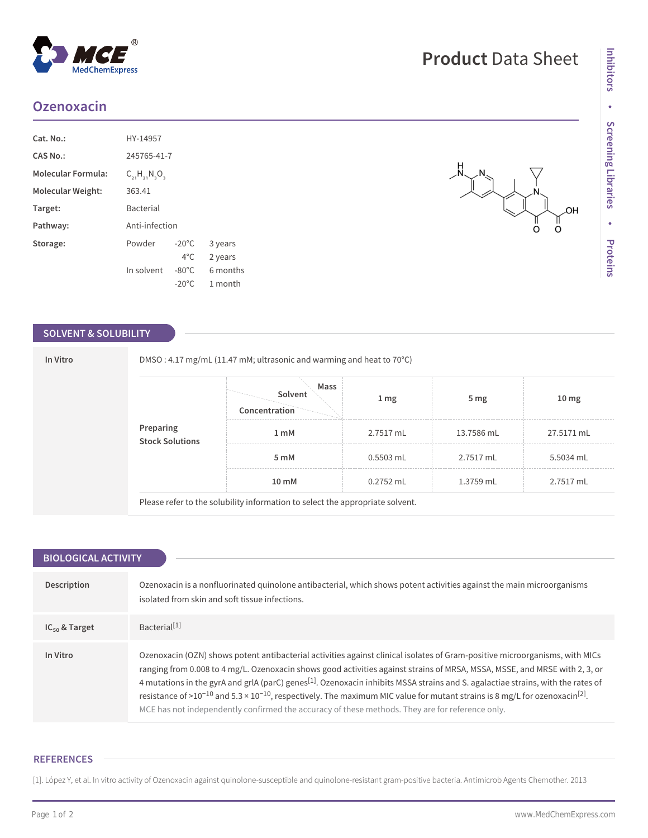# **Ozenoxacin**

| Cat. No.:                 | HY-14957                            |                 |          |  |
|---------------------------|-------------------------------------|-----------------|----------|--|
| CAS No.:                  | 245765-41-7                         |                 |          |  |
| <b>Molecular Formula:</b> | $C_{2}$ , $H_{2}$ , $N_{3}$ $O_{3}$ |                 |          |  |
| Molecular Weight:         | 363.41                              |                 |          |  |
| Target:                   | <b>Bacterial</b>                    |                 |          |  |
| Pathway:                  | Anti-infection                      |                 |          |  |
| Storage:                  | Powder                              | $-20^{\circ}$ C | 3 years  |  |
|                           |                                     | $4^{\circ}$ C.  | 2 years  |  |
|                           | In solvent                          | $-80^{\circ}$ C | 6 months |  |
|                           |                                     | $-20^{\circ}$ C | 1 month  |  |

## **SOLVENT & SOLUBILITY**

| In Vitro                     |      | DMSO: 4.17 mg/mL (11.47 mM; ultrasonic and warming and heat to 70°C) |                 |                 |                  |  |  |
|------------------------------|------|----------------------------------------------------------------------|-----------------|-----------------|------------------|--|--|
| Preparing<br>Stock Solutions |      | Mass<br>Solvent<br>Concentration                                     | 1 <sub>mg</sub> | 5 <sub>mg</sub> | 10 <sub>mg</sub> |  |  |
|                              |      | 1 <sub>m</sub> M                                                     | 2.7517 mL       | 13.7586 mL      | 27.5171 mL       |  |  |
|                              | 5 mM | 0.5503 mL                                                            | 2.7517 mL       | 5.5034 mL       |                  |  |  |
|                              |      | 10 mM                                                                | 0.2752 mL       | 1.3759 mL       | 2.7517 mL        |  |  |

Please refer to the solubility information to select the appropriate solvent.

| <b>BIOLOGICAL ACTIVITY</b> |                                                                                                                                                                                                                                                                                                                                                                                                                                                                                                                                                                                                                                                                                 |  |  |  |  |
|----------------------------|---------------------------------------------------------------------------------------------------------------------------------------------------------------------------------------------------------------------------------------------------------------------------------------------------------------------------------------------------------------------------------------------------------------------------------------------------------------------------------------------------------------------------------------------------------------------------------------------------------------------------------------------------------------------------------|--|--|--|--|
|                            |                                                                                                                                                                                                                                                                                                                                                                                                                                                                                                                                                                                                                                                                                 |  |  |  |  |
| Description                | Ozenoxacin is a nonfluorinated quinolone antibacterial, which shows potent activities against the main microorganisms<br>isolated from skin and soft tissue infections.                                                                                                                                                                                                                                                                                                                                                                                                                                                                                                         |  |  |  |  |
| $IC_{50}$ & Target         | Bacterial <sup>[1]</sup>                                                                                                                                                                                                                                                                                                                                                                                                                                                                                                                                                                                                                                                        |  |  |  |  |
| In Vitro                   | Ozenoxacin (OZN) shows potent antibacterial activities against clinical isolates of Gram-positive microorganisms, with MICs<br>ranging from 0.008 to 4 mg/L. Ozenoxacin shows good activities against strains of MRSA, MSSA, MSSE, and MRSE with 2, 3, or<br>4 mutations in the gyrA and grIA (parC) genes <sup>[1]</sup> . Ozenoxacin inhibits MSSA strains and S. agalactiae strains, with the rates of<br>resistance of >10 <sup>-10</sup> and 5.3 × 10 <sup>-10</sup> , respectively. The maximum MIC value for mutant strains is 8 mg/L for ozenoxacin <sup>[2]</sup> .<br>MCE has not independently confirmed the accuracy of these methods. They are for reference only. |  |  |  |  |

### **REFERENCES**

[1]. López Y, et al. In vitro activity of Ozenoxacin against quinolone-susceptible and quinolone-resistant gram-positive bacteria. Antimicrob Agents Chemother. 2013

## Page 1 of 2 www.MedChemExpress.com

OH )<br>O

O